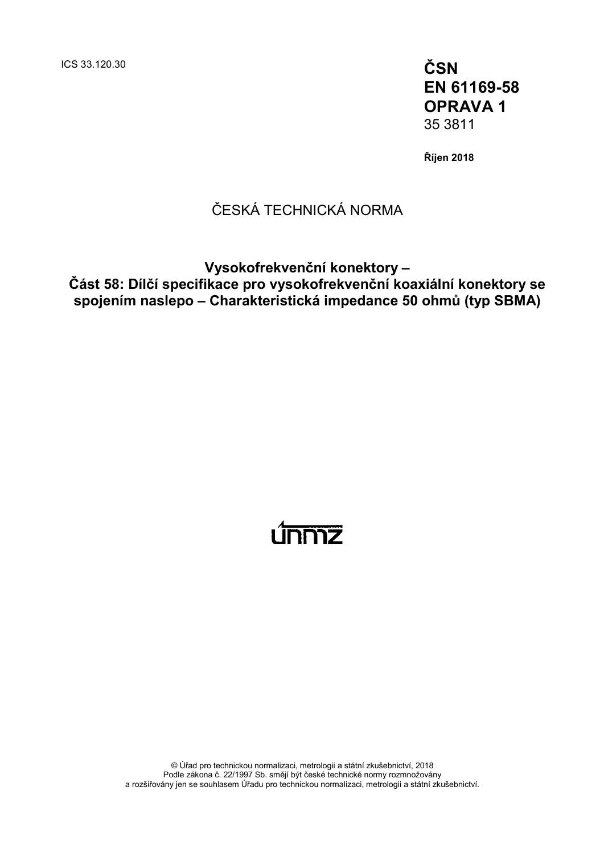ICS 33.120.30 **ČSN**

**EN 61169-58 OPRAVA 1** 35 3811

**Říjen 2018**

### ČESKÁ TECHNICKÁ NORMA

**Vysokofrekvenční konektory – Část 58: Dílčí specifikace pro vysokofrekvenční koaxiální konektory se spojením naslepo – Charakteristická impedance 50 ohmů (typ SBMA)**

# $\sqrt{m}$

© Úřad pro technickou normalizaci, metrologii a státní zkušebnictví, 2018 Podle zákona č. 22/1997 Sb. smějí být české technické normy rozmnožovány a rozšiřovány jen se souhlasem Úřadu pro technickou normalizaci, metrologii a státní zkušebnictví.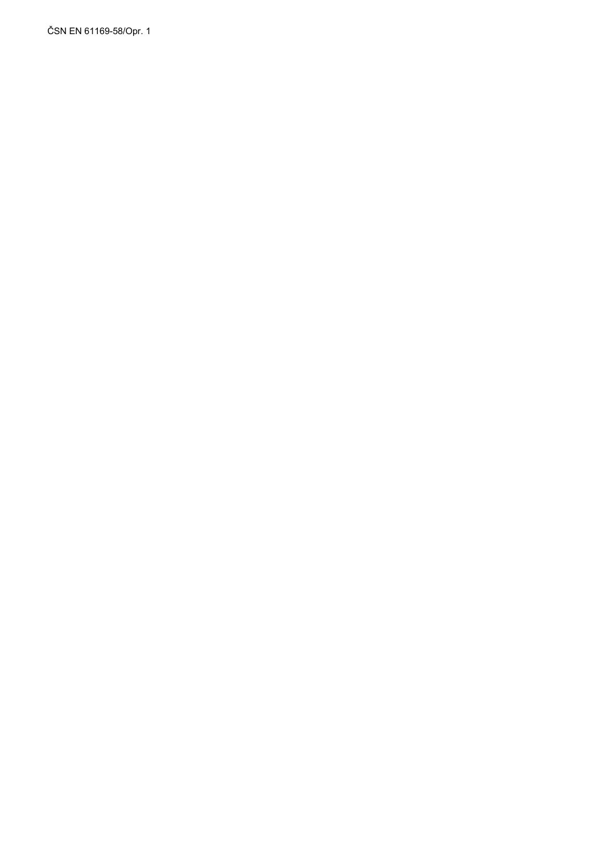ČSN EN 61169-58/Opr. 1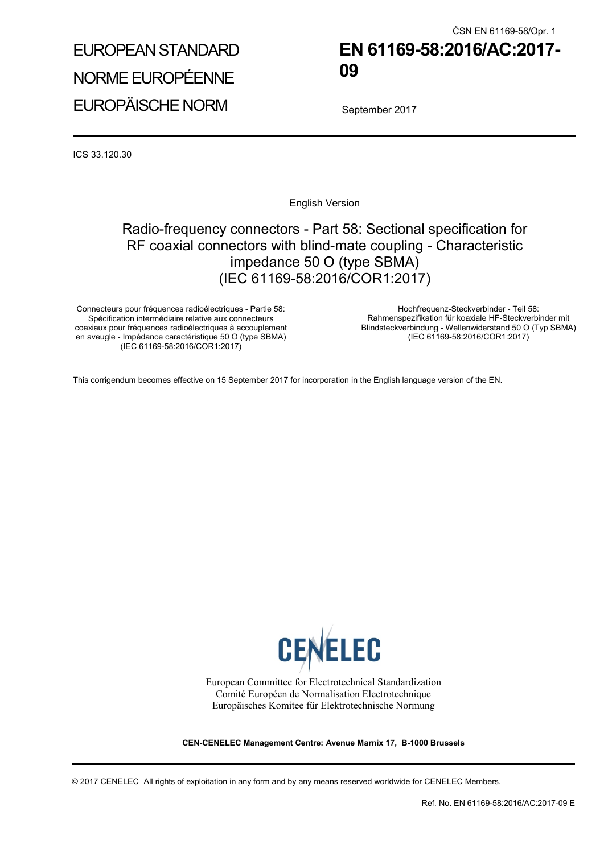ČSN EN 61169-58/Opr. 1

# EUROPEAN STANDARD NORME EUROPÉENNE EUROPÄISCHE NORM

## **EN 61169-58:2016/AC:2017- 09**

September 2017

ICS 33.120.30

English Version

### Radio-frequency connectors - Part 58: Sectional specification for RF coaxial connectors with blind-mate coupling - Characteristic impedance 50 O (type SBMA) (IEC 61169-58:2016/COR1:2017)

Connecteurs pour fréquences radioélectriques - Partie 58: Spécification intermédiaire relative aux connecteurs coaxiaux pour fréquences radioélectriques à accouplement en aveugle - Impédance caractéristique 50 O (type SBMA) (IEC 61169-58:2016/COR1:2017)

 Hochfrequenz-Steckverbinder - Teil 58: Rahmenspezifikation für koaxiale HF-Steckverbinder mit Blindsteckverbindung - Wellenwiderstand 50 O (Typ SBMA) (IEC 61169-58:2016/COR1:2017)

This corrigendum becomes effective on 15 September 2017 for incorporation in the English language version of the EN.



European Committee for Electrotechnical Standardization Comité Européen de Normalisation Electrotechnique Europäisches Komitee für Elektrotechnische Normung

**CEN-CENELEC Management Centre: Avenue Marnix 17, B-1000 Brussels** 

© 2017 CENELEC All rights of exploitation in any form and by any means reserved worldwide for CENELEC Members.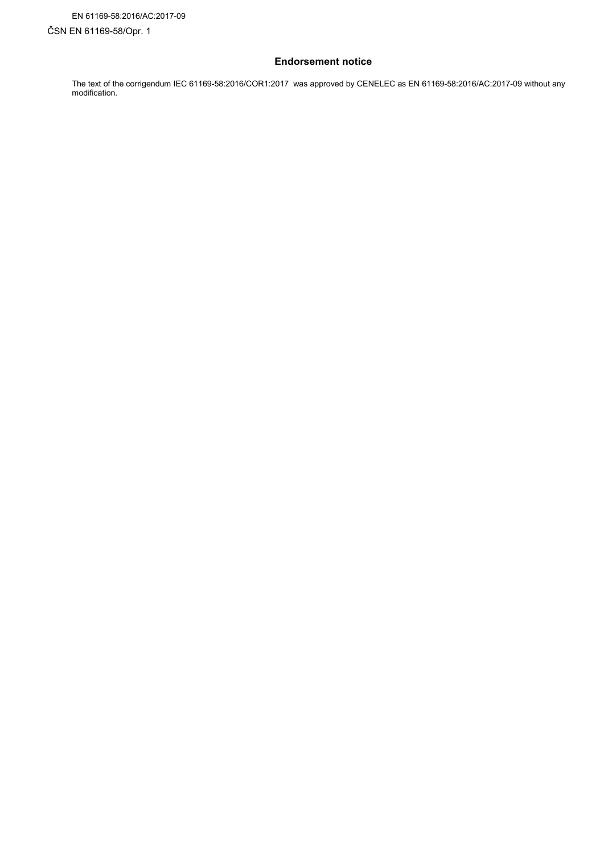EN 61169-58:2016/AC:2017-09

ČSN EN 61169-58/Opr. 1

#### **Endorsement notice**

The text of the corrigendum IEC 61169-58:2016/COR1:2017 was approved by CENELEC as EN 61169-58:2016/AC:2017-09 without any modification.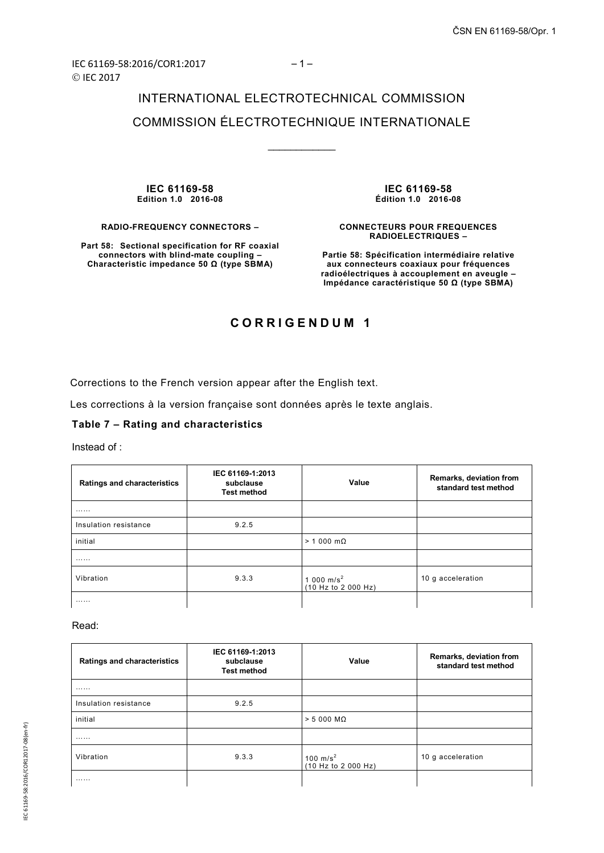### INTERNATIONAL ELECTROTECHNICAL COMMISSION COMMISSION ÉLECTROTECHNIQUE INTERNATIONALE

\_\_\_\_\_\_\_\_\_\_\_\_

**IEC 61169-58 Edition 1.0 2016-08**

**RADIO-FREQUENCY CONNECTORS –** 

**Part 58: Sectional specification for RF coaxial connectors with blind-mate coupling – Characteristic impedance 50 Ω (type SBMA)**

**IEC 61169-58 Édition 1.0 2016-08**

**CONNECTEURS POUR FREQUENCES RADIOELECTRIQUES –** 

**Partie 58: Spécification intermédiaire relative aux connecteurs coaxiaux pour fréquences radioélectriques à accouplement en aveugle – Impédance caractéristique 50 Ω (type SBMA)**

#### **CORRIGENDUM 1**

Corrections to the French version appear after the English text.

Les corrections à la version française sont données après le texte anglais.

#### **Table 7 – Rating and characteristics**

Instead of :

| Ratings and characteristics | IEC 61169-1:2013<br>subclause<br><b>Test method</b> | Value                                         | Remarks, deviation from<br>standard test method |
|-----------------------------|-----------------------------------------------------|-----------------------------------------------|-------------------------------------------------|
| .                           |                                                     |                                               |                                                 |
| Insulation resistance       | 9.2.5                                               |                                               |                                                 |
| initial                     |                                                     | $> 1000$ m $\Omega$                           |                                                 |
| .                           |                                                     |                                               |                                                 |
| Vibration                   | 9.3.3                                               | 1 000 m/s <sup>2</sup><br>(10 Hz to 2 000 Hz) | 10 g acceleration                               |
| .                           |                                                     |                                               |                                                 |

Read:

| Ratings and characteristics | IEC 61169-1:2013<br>subclause<br><b>Test method</b> | Value                                       | Remarks, deviation from<br>standard test method |
|-----------------------------|-----------------------------------------------------|---------------------------------------------|-------------------------------------------------|
| .                           |                                                     |                                             |                                                 |
| Insulation resistance       | 9.2.5                                               |                                             |                                                 |
| initial                     |                                                     | $> 5000 M\Omega$                            |                                                 |
| .                           |                                                     |                                             |                                                 |
| Vibration                   | 9.3.3                                               | 100 m/s <sup>2</sup><br>(10 Hz to 2 000 Hz) | 10 g acceleration                               |
|                             |                                                     |                                             |                                                 |